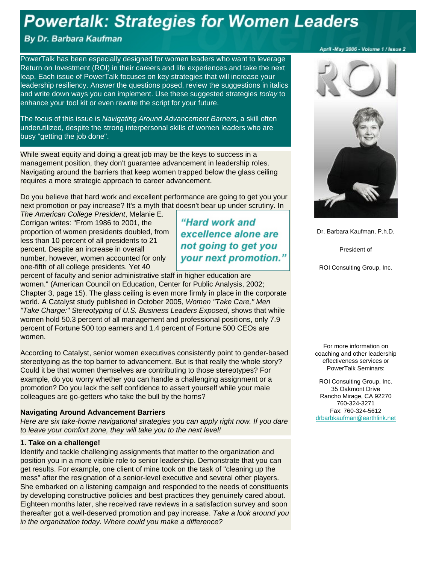# **Powertalk: Strategies for Women Leaders**

## By Dr. Barbara Kaufman

PowerTalk has been especially designed for women leaders who want to leverage Return on Investment (ROI) in their careers and life experiences and take the next leap. Each issue of PowerTalk focuses on key strategies that will increase your leadership resiliency. Answer the questions posed, review the suggestions in italics and write down ways you can implement. Use these suggested strategies *today* to enhance your tool kit or even rewrite the script for your future.

The focus of this issue is *Navigating Around Advancement Barriers*, a skill often underutilized, despite the strong interpersonal skills of women leaders who are busy "getting the job done".

While sweat equity and doing a great job may be the keys to success in a management position, they don't guarantee advancement in leadership roles. Navigating around the barriers that keep women trapped below the glass ceiling requires a more strategic approach to career advancement.

Do you believe that hard work and excellent performance are going to get you your next promotion or pay increase? It's a myth that doesn't bear up under scrutiny. In

*The American College President*, Melanie E. Corrigan writes: "From 1986 to 2001, the proportion of women presidents doubled, from less than 10 percent of all presidents to 21 percent. Despite an increase in overall number, however, women accounted for only one-fifth of all college presidents. Yet 40

"Hard work and excellence alone are not going to get you your next promotion."

percent of faculty and senior administrative staff in higher education are women." (American Council on Education, Center for Public Analysis, 2002; Chapter 3, page 15). The glass ceiling is even more firmly in place in the corporate world. A Catalyst study published in October 2005, *Women "Take Care," Men "Take Charge:" Stereotyping of U.S. Business Leaders Exposed*, shows that while women hold 50.3 percent of all management and professional positions, only 7.9 percent of Fortune 500 top earners and 1.4 percent of Fortune 500 CEOs are women.

According to Catalyst, senior women executives consistently point to gender-based stereotyping as the top barrier to advancement. But is that really the whole story? Could it be that women themselves are contributing to those stereotypes? For example, do you worry whether you can handle a challenging assignment or a promotion? Do you lack the self confidence to assert yourself while your male colleagues are go-getters who take the bull by the horns?

#### **Navigating Around Advancement Barriers**

*Here are six take-home navigational strategies you can apply right now. If you dare to leave your comfort zone, they will take you to the next level!*

#### **1. Take on a challenge!**

Identify and tackle challenging assignments that matter to the organization and position you in a more visible role to senior leadership. Demonstrate that you can get results. For example, one client of mine took on the task of "cleaning up the mess" after the resignation of a senior-level executive and several other players. She embarked on a listening campaign and responded to the needs of constituents by developing constructive policies and best practices they genuinely cared about. Eighteen months later, she received rave reviews in a satisfaction survey and soon thereafter got a well-deserved promotion and pay increase. *Take a look around you in the organization today. Where could you make a difference?*

#### April - May 2006 - Volume 1 / Issue 2





Dr. Barbara Kaufman, P.h.D.

President of

ROI Consulting Group, Inc.

For more information on coaching and other leadership effectiveness services or PowerTalk Seminars:

ROI Consulting Group, Inc. 35 Oakmont Drive Rancho Mirage, CA 92270 760-324-3271 Fax: 760-324-5612 drbarbkaufman@earthlink.net